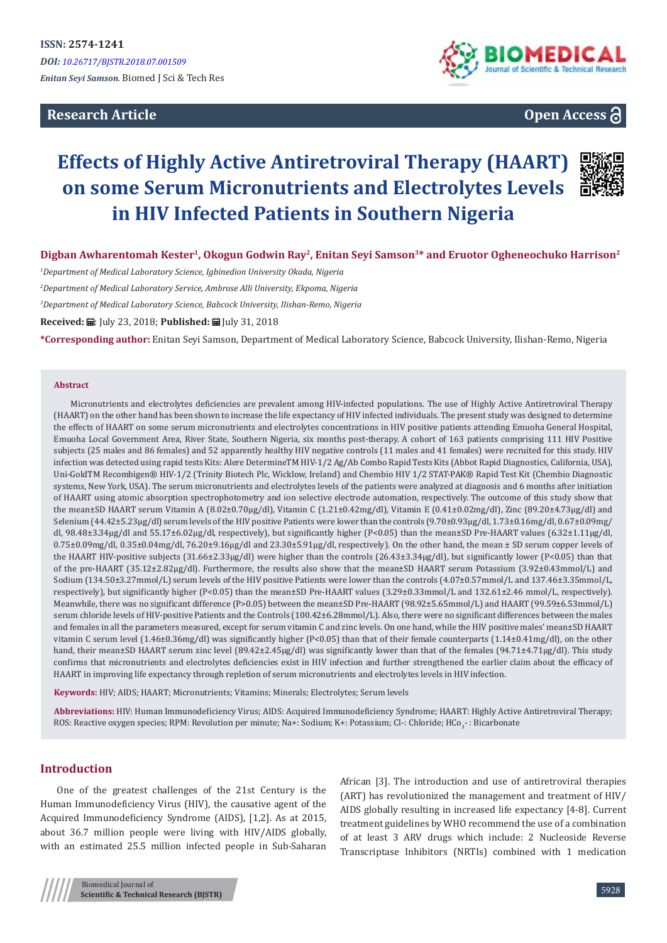**Research Article**



**Open Access**

# **Effects of Highly Active Antiretroviral Therapy (HAART) on some Serum Micronutrients and Electrolytes Levels in HIV Infected Patients in Southern Nigeria**



Digban Awharentomah Kester<sup>1</sup>, Okogun Godwin Ray<sup>2</sup>, Enitan Seyi Samson<sup>3\*</sup> and Eruotor Ogheneochuko Harrison<sup>2</sup>

*1 Department of Medical Laboratory Science, Igbinedion University Okada, Nigeria*

*2 Department of Medical Laboratory Service, Ambrose Alli University, Ekpoma, Nigeria* 

*3 Department of Medical Laboratory Science, Babcock University, Ilishan-Remo, Nigeria*

Received: *H*a: July 23, 2018; Published: <sup>田</sup> July 31, 2018

**\*Corresponding author:** Enitan Seyi Samson, Department of Medical Laboratory Science, Babcock University, Ilishan-Remo, Nigeria

#### **Abstract**

Micronutrients and electrolytes deficiencies are prevalent among HIV-infected populations. The use of Highly Active Antiretroviral Therapy (HAART) on the other hand has been shown to increase the life expectancy of HIV infected individuals. The present study was designed to determine the effects of HAART on some serum micronutrients and electrolytes concentrations in HIV positive patients attending Emuoha General Hospital, Emuoha Local Government Area, River State, Southern Nigeria, six months post-therapy. A cohort of 163 patients comprising 111 HIV Positive subjects (25 males and 86 females) and 52 apparently healthy HIV negative controls (11 males and 41 females) were recruited for this study. HIV infection was detected using rapid tests Kits: Alere DetermineTM HIV-1/2 Ag/Ab Combo Rapid Tests Kits (Abbot Rapid Diagnostics, California, USA), Uni-GoldTM Recombigen® HIV-1/2 (Trinity Biotech Plc, Wicklow, Ireland) and Chembio HIV 1/2 STAT-PAK® Rapid Test Kit (Chembio Diagnostic systems, New York, USA). The serum micronutrients and electrolytes levels of the patients were analyzed at diagnosis and 6 months after initiation of HAART using atomic absorption spectrophotometry and ion selective electrode automation, respectively. The outcome of this study show that the mean±SD HAART serum Vitamin A (8.02±0.70µg/dl), Vitamin C (1.21±0.42mg/dl), Vitamin E (0.41±0.02mg/dl), Zinc (89.20±4.73µg/dl) and Selenium (44.42±5.23µg/dl) serum levels of the HIV positive Patients were lower than the controls (9.70±0.93µg/dl, 1.73±0.16mg/dl, 0.67±0.09mg/ dl, 98.48±3.34µg/dl and 55.17±6.02µg/dl, respectively), but significantly higher (P<0.05) than the mean±SD Pre-HAART values (6.32±1.11µg/dl, 0.75±0.09mg/dl, 0.35±0.04mg/dl, 76.20±9.16µg/dl and 23.30±5.91µg/dl, respectively). On the other hand, the mean ± SD serum copper levels of the HAART HIV-positive subjects (31.66±2.33µg/dl) were higher than the controls (26.43±3.34µg/dl), but significantly lower (P<0.05) than that of the pre-HAART (35.12±2.82µg/dl). Furthermore, the results also show that the mean±SD HAART serum Potassium (3.92±0.43mmol/L) and Sodium (134.50±3.27mmol/L) serum levels of the HIV positive Patients were lower than the controls (4.07±0.57mmol/L and 137.46±3.35mmol/L, respectively), but significantly higher (P<0.05) than the mean±SD Pre-HAART values (3.29±0.33mmol/L and 132.61±2.46 mmol/L, respectively). Meanwhile, there was no significant difference (P>0.05) between the mean±SD Pre-HAART (98.92±5.65mmol/L) and HAART (99.59±6.53mmol/L) serum chloride levels of HIV-positive Patients and the Controls (100.42±6.28mmol/L). Also, there were no significant differences between the males and females in all the parameters measured, except for serum vitamin C and zinc levels. On one hand, while the HIV positive males' mean±SD HAART vitamin C serum level (1.46±0.36mg/dl) was significantly higher (P<0.05) than that of their female counterparts (1.14±0.41mg/dl), on the other hand, their mean±SD HAART serum zinc level (89.42±2.45µg/dl) was significantly lower than that of the females (94.71±4.71µg/dl). This study confirms that micronutrients and electrolytes deficiencies exist in HIV infection and further strengthened the earlier claim about the efficacy of HAART in improving life expectancy through repletion of serum micronutrients and electrolytes levels in HIV infection.

**Keywords:** HIV; AIDS; HAART; Micronutrients; Vitamins; Minerals; Electrolytes; Serum levels

**Abbreviations:** HIV: Human Immunodeficiency Virus; AIDS: Acquired Immunodeficiency Syndrome; HAART: Highly Active Antiretroviral Therapy; ROS: Reactive oxygen species; RPM: Revolution per minute; Na+: Sodium; K+: Potassium; Cl-: Chloride; HCo $_{3}$ - : Bicarbonate

## **Introduction**

One of the greatest challenges of the 21st Century is the Human Immunodeficiency Virus (HIV), the causative agent of the Acquired Immunodeficiency Syndrome (AIDS), [1,2]. As at 2015, about 36.7 million people were living with HIV/AIDS globally, with an estimated 25.5 million infected people in Sub-Saharan

African [3]. The introduction and use of antiretroviral therapies (ART) has revolutionized the management and treatment of HIV/ AIDS globally resulting in increased life expectancy [4-8]. Current treatment guidelines by WHO recommend the use of a combination of at least 3 ARV drugs which include: 2 Nucleoside Reverse Transcriptase Inhibitors (NRTIs) combined with 1 medication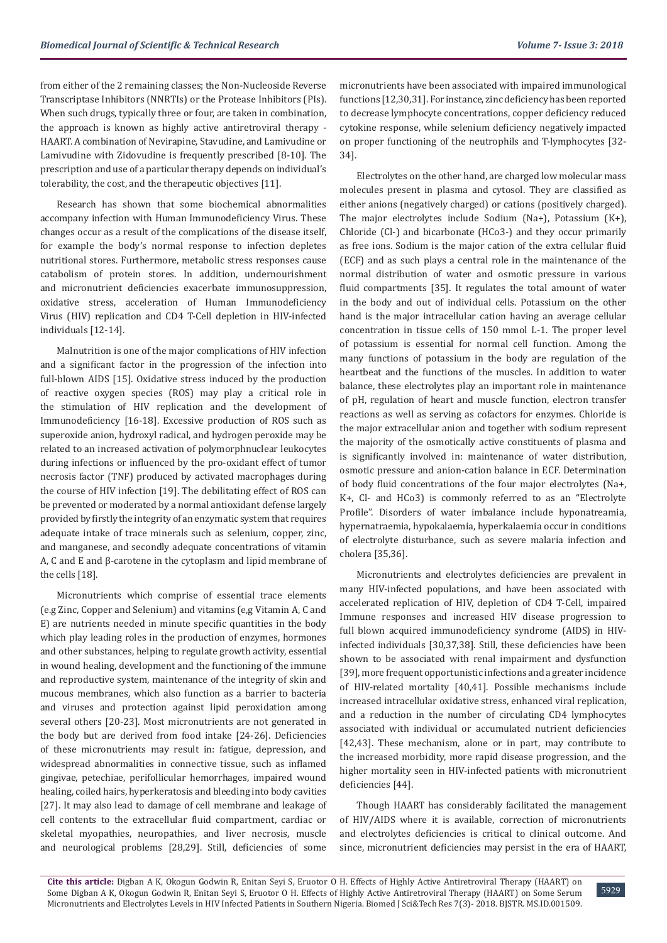from either of the 2 remaining classes; the Non-Nucleoside Reverse Transcriptase Inhibitors (NNRTIs) or the Protease Inhibitors (PIs). When such drugs, typically three or four, are taken in combination, the approach is known as highly active antiretroviral therapy - HAART. A combination of Nevirapine, Stavudine, and Lamivudine or Lamivudine with Zidovudine is frequently prescribed [8-10]. The prescription and use of a particular therapy depends on individual's tolerability, the cost, and the therapeutic objectives [11].

Research has shown that some biochemical abnormalities accompany infection with Human Immunodeficiency Virus. These changes occur as a result of the complications of the disease itself, for example the body's normal response to infection depletes nutritional stores. Furthermore, metabolic stress responses cause catabolism of protein stores. In addition, undernourishment and micronutrient deficiencies exacerbate immunosuppression, oxidative stress, acceleration of Human Immunodeficiency Virus (HIV) replication and CD4 T-Cell depletion in HIV-infected individuals [12-14].

Malnutrition is one of the major complications of HIV infection and a significant factor in the progression of the infection into full-blown AIDS [15]. Oxidative stress induced by the production of reactive oxygen species (ROS) may play a critical role in the stimulation of HIV replication and the development of Immunodeficiency [16-18]. Excessive production of ROS such as superoxide anion, hydroxyl radical, and hydrogen peroxide may be related to an increased activation of polymorphnuclear leukocytes during infections or influenced by the pro-oxidant effect of tumor necrosis factor (TNF) produced by activated macrophages during the course of HIV infection [19]. The debilitating effect of ROS can be prevented or moderated by a normal antioxidant defense largely provided by firstly the integrity of an enzymatic system that requires adequate intake of trace minerals such as selenium, copper, zinc, and manganese, and secondly adequate concentrations of vitamin A, C and E and β-carotene in the cytoplasm and lipid membrane of the cells [18].

Micronutrients which comprise of essential trace elements (e.g Zinc, Copper and Selenium) and vitamins (e,g Vitamin A, C and E) are nutrients needed in minute specific quantities in the body which play leading roles in the production of enzymes, hormones and other substances, helping to regulate growth activity, essential in wound healing, development and the functioning of the immune and reproductive system, maintenance of the integrity of skin and mucous membranes, which also function as a barrier to bacteria and viruses and protection against lipid peroxidation among several others [20-23]. Most micronutrients are not generated in the body but are derived from food intake [24-26]. Deficiencies of these micronutrients may result in: fatigue, depression, and widespread abnormalities in connective tissue, such as inflamed gingivae, petechiae, perifollicular hemorrhages, impaired wound healing, coiled hairs, hyperkeratosis and bleeding into body cavities [27]. It may also lead to damage of cell membrane and leakage of cell contents to the extracellular fluid compartment, cardiac or skeletal myopathies, neuropathies, and liver necrosis, muscle and neurological problems [28,29]. Still, deficiencies of some

micronutrients have been associated with impaired immunological functions [12,30,31]. For instance, zinc deficiency has been reported to decrease lymphocyte concentrations, copper deficiency reduced cytokine response, while selenium deficiency negatively impacted on proper functioning of the neutrophils and T-lymphocytes [32- 34].

Electrolytes on the other hand, are charged low molecular mass molecules present in plasma and cytosol. They are classified as either anions (negatively charged) or cations (positively charged). The major electrolytes include Sodium (Na+), Potassium (K+), Chloride (Cl-) and bicarbonate (HCo3-) and they occur primarily as free ions. Sodium is the major cation of the extra cellular fluid (ECF) and as such plays a central role in the maintenance of the normal distribution of water and osmotic pressure in various fluid compartments [35]. It regulates the total amount of water in the body and out of individual cells. Potassium on the other hand is the major intracellular cation having an average cellular concentration in tissue cells of 150 mmol L-1. The proper level of potassium is essential for normal cell function. Among the many functions of potassium in the body are regulation of the heartbeat and the functions of the muscles. In addition to water balance, these electrolytes play an important role in maintenance of pH, regulation of heart and muscle function, electron transfer reactions as well as serving as cofactors for enzymes. Chloride is the major extracellular anion and together with sodium represent the majority of the osmotically active constituents of plasma and is significantly involved in: maintenance of water distribution, osmotic pressure and anion-cation balance in ECF. Determination of body fluid concentrations of the four major electrolytes (Na+, K+, Cl- and HCo3) is commonly referred to as an "Electrolyte Profile". Disorders of water imbalance include hyponatreamia, hypernatraemia, hypokalaemia, hyperkalaemia occur in conditions of electrolyte disturbance, such as severe malaria infection and cholera [35,36].

Micronutrients and electrolytes deficiencies are prevalent in many HIV-infected populations, and have been associated with accelerated replication of HIV, depletion of CD4 T-Cell, impaired Immune responses and increased HIV disease progression to full blown acquired immunodeficiency syndrome (AIDS) in HIVinfected individuals [30,37,38]. Still, these deficiencies have been shown to be associated with renal impairment and dysfunction [39], more frequent opportunistic infections and a greater incidence of HIV-related mortality [40,41]. Possible mechanisms include increased intracellular oxidative stress, enhanced viral replication, and a reduction in the number of circulating CD4 lymphocytes associated with individual or accumulated nutrient deficiencies [42,43]. These mechanism, alone or in part, may contribute to the increased morbidity, more rapid disease progression, and the higher mortality seen in HIV-infected patients with micronutrient deficiencies [44].

Though HAART has considerably facilitated the management of HIV/AIDS where it is available, correction of micronutrients and electrolytes deficiencies is critical to clinical outcome. And since, micronutrient deficiencies may persist in the era of HAART,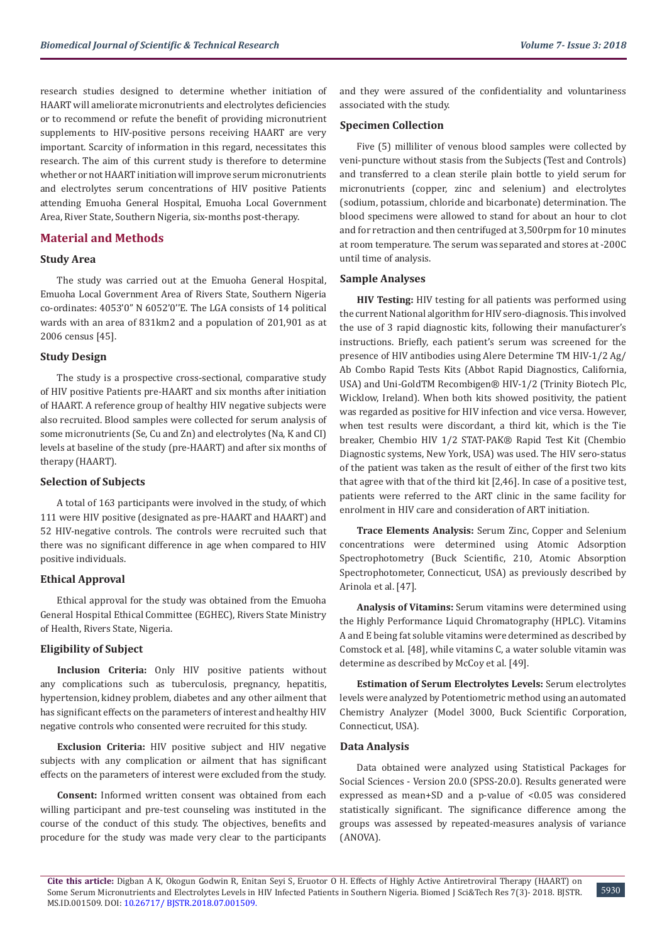research studies designed to determine whether initiation of HAART will ameliorate micronutrients and electrolytes deficiencies or to recommend or refute the benefit of providing micronutrient supplements to HIV-positive persons receiving HAART are very important. Scarcity of information in this regard, necessitates this research. The aim of this current study is therefore to determine whether or not HAART initiation will improve serum micronutrients and electrolytes serum concentrations of HIV positive Patients attending Emuoha General Hospital, Emuoha Local Government Area, River State, Southern Nigeria, six-months post-therapy.

## **Material and Methods**

#### **Study Area**

The study was carried out at the Emuoha General Hospital, Emuoha Local Government Area of Rivers State, Southern Nigeria co-ordinates: 4053'0" N 6052'0''E. The LGA consists of 14 political wards with an area of 831km2 and a population of 201,901 as at 2006 census [45].

#### **Study Design**

The study is a prospective cross-sectional, comparative study of HIV positive Patients pre-HAART and six months after initiation of HAART. A reference group of healthy HIV negative subjects were also recruited. Blood samples were collected for serum analysis of some micronutrients (Se, Cu and Zn) and electrolytes (Na, K and CI) levels at baseline of the study (pre-HAART) and after six months of therapy (HAART).

#### **Selection of Subjects**

A total of 163 participants were involved in the study, of which 111 were HIV positive (designated as pre-HAART and HAART) and 52 HIV-negative controls. The controls were recruited such that there was no significant difference in age when compared to HIV positive individuals.

#### **Ethical Approval**

Ethical approval for the study was obtained from the Emuoha General Hospital Ethical Committee (EGHEC), Rivers State Ministry of Health, Rivers State, Nigeria.

### **Eligibility of Subject**

**Inclusion Criteria:** Only HIV positive patients without any complications such as tuberculosis, pregnancy, hepatitis, hypertension, kidney problem, diabetes and any other ailment that has significant effects on the parameters of interest and healthy HIV negative controls who consented were recruited for this study.

**Exclusion Criteria:** HIV positive subject and HIV negative subjects with any complication or ailment that has significant effects on the parameters of interest were excluded from the study.

**Consent:** Informed written consent was obtained from each willing participant and pre-test counseling was instituted in the course of the conduct of this study. The objectives, benefits and procedure for the study was made very clear to the participants and they were assured of the confidentiality and voluntariness associated with the study.

## **Specimen Collection**

Five (5) milliliter of venous blood samples were collected by veni-puncture without stasis from the Subjects (Test and Controls) and transferred to a clean sterile plain bottle to yield serum for micronutrients (copper, zinc and selenium) and electrolytes (sodium, potassium, chloride and bicarbonate) determination. The blood specimens were allowed to stand for about an hour to clot and for retraction and then centrifuged at 3,500rpm for 10 minutes at room temperature. The serum was separated and stores at -200C until time of analysis.

## **Sample Analyses**

**HIV Testing:** HIV testing for all patients was performed using the current National algorithm for HIV sero-diagnosis. This involved the use of 3 rapid diagnostic kits, following their manufacturer's instructions. Briefly, each patient's serum was screened for the presence of HIV antibodies using Alere Determine TM HIV-1/2 Ag/ Ab Combo Rapid Tests Kits (Abbot Rapid Diagnostics, California, USA) and Uni-GoldTM Recombigen® HIV-1/2 (Trinity Biotech Plc, Wicklow, Ireland). When both kits showed positivity, the patient was regarded as positive for HIV infection and vice versa. However, when test results were discordant, a third kit, which is the Tie breaker, Chembio HIV 1/2 STAT-PAK® Rapid Test Kit (Chembio Diagnostic systems, New York, USA) was used. The HIV sero-status of the patient was taken as the result of either of the first two kits that agree with that of the third kit [2,46]. In case of a positive test, patients were referred to the ART clinic in the same facility for enrolment in HIV care and consideration of ART initiation.

**Trace Elements Analysis:** Serum Zinc, Copper and Selenium concentrations were determined using Atomic Adsorption Spectrophotometry (Buck Scientific, 210, Atomic Absorption Spectrophotometer, Connecticut, USA) as previously described by Arinola et al. [47].

**Analysis of Vitamins:** Serum vitamins were determined using the Highly Performance Liquid Chromatography (HPLC). Vitamins A and E being fat soluble vitamins were determined as described by Comstock et al. [48], while vitamins C, a water soluble vitamin was determine as described by McCoy et al. [49].

**Estimation of Serum Electrolytes Levels:** Serum electrolytes levels were analyzed by Potentiometric method using an automated Chemistry Analyzer (Model 3000, Buck Scientific Corporation, Connecticut, USA).

#### **Data Analysis**

Data obtained were analyzed using Statistical Packages for Social Sciences - Version 20.0 (SPSS-20.0). Results generated were expressed as mean+SD and a p-value of <0.05 was considered statistically significant. The significance difference among the groups was assessed by repeated-measures analysis of variance (ANOVA).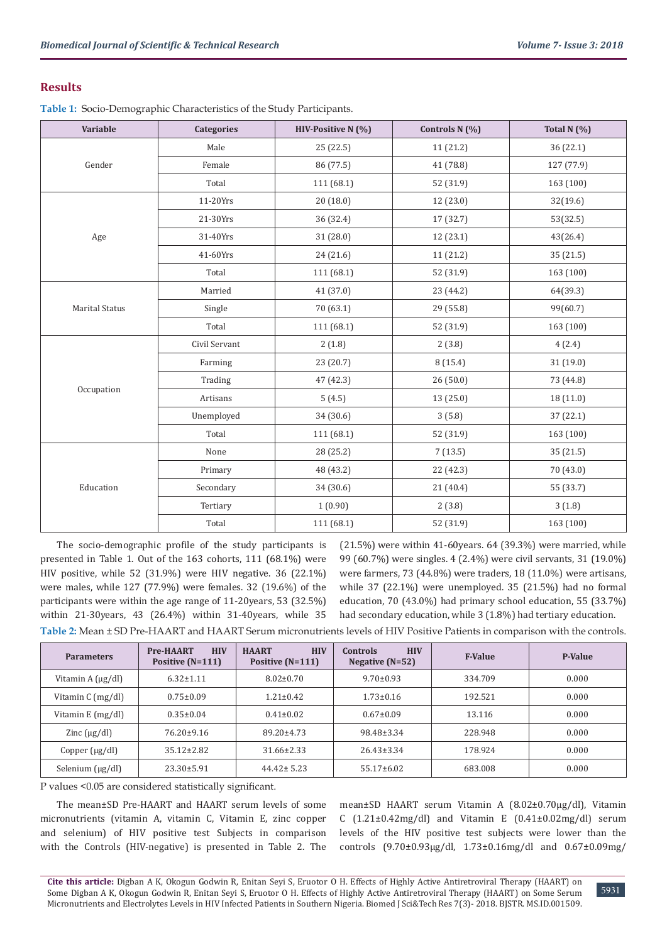# **Results**

**Table 1:** Socio-Demographic Characteristics of the Study Participants.

| <b>Variable</b>       | <b>Categories</b> | HIV-Positive N (%) | Controls N (%) | Total $N(%$ |
|-----------------------|-------------------|--------------------|----------------|-------------|
| Gender                | Male              | 25 (22.5)          | 11 (21.2)      | 36 (22.1)   |
|                       | Female            | 86 (77.5)          | 41 (78.8)      | 127 (77.9)  |
|                       | Total             | 111 (68.1)         | 52 (31.9)      | 163 (100)   |
|                       | 11-20Yrs          | 20(18.0)           | 12 (23.0)      | 32(19.6)    |
|                       | 21-30Yrs          | 36 (32.4)          | 17 (32.7)      | 53(32.5)    |
| Age                   | 31-40Yrs          | 31(28.0)           | 12(23.1)       | 43(26.4)    |
|                       | 41-60Yrs          | 24 (21.6)          | 11 (21.2)      | 35 (21.5)   |
|                       | Total             | 111 (68.1)         | 52 (31.9)      | 163 (100)   |
|                       | Married           | 41 (37.0)          | 23 (44.2)      | 64(39.3)    |
| <b>Marital Status</b> | Single            | 70 (63.1)          | 29 (55.8)      | 99(60.7)    |
|                       | Total             | 111 (68.1)         | 52 (31.9)      | 163 (100)   |
|                       | Civil Servant     | 2(1.8)             | 2(3.8)         | 4(2.4)      |
|                       | Farming           | 23 (20.7)          | 8(15.4)        | 31 (19.0)   |
|                       | Trading           | 47 (42.3)          | 26(50.0)       | 73 (44.8)   |
| Occupation            | Artisans          | 5(4.5)             | 13 (25.0)      | 18 (11.0)   |
|                       | Unemployed        | 34 (30.6)          | 3(5.8)         | 37 (22.1)   |
|                       | Total             | 111 (68.1)         | 52 (31.9)      | 163 (100)   |
| Education             | None              | 28 (25.2)          | 7(13.5)        | 35 (21.5)   |
|                       | Primary           | 48 (43.2)          | 22 (42.3)      | 70 (43.0)   |
|                       | Secondary         | 34 (30.6)          | 21 (40.4)      | 55 (33.7)   |
|                       | Tertiary          | 1(0.90)            | 2(3.8)         | 3(1.8)      |
|                       | Total             | 111(68.1)          | 52 (31.9)      | 163 (100)   |

The socio-demographic profile of the study participants is presented in Table 1. Out of the 163 cohorts, 111 (68.1%) were HIV positive, while 52 (31.9%) were HIV negative. 36 (22.1%) were males, while 127 (77.9%) were females. 32 (19.6%) of the participants were within the age range of 11-20years, 53 (32.5%) within 21-30years, 43 (26.4%) within 31-40years, while 35 (21.5%) were within 41-60years. 64 (39.3%) were married, while 99 (60.7%) were singles. 4 (2.4%) were civil servants, 31 (19.0%) were farmers, 73 (44.8%) were traders, 18 (11.0%) were artisans, while 37 (22.1%) were unemployed. 35 (21.5%) had no formal education, 70 (43.0%) had primary school education, 55 (33.7%) had secondary education, while 3 (1.8%) had tertiary education.

**Table 2:** Mean ± SD Pre-HAART and HAART Serum micronutrients levels of HIV Positive Patients in comparison with the controls.

| <b>Parameters</b>         | <b>HIV</b><br><b>Pre-HAART</b><br>Positive $(N=111)$ | <b>HIV</b><br><b>HAART</b><br>Positive $(N=111)$ | <b>HIV</b><br><b>Controls</b><br>Negative $(N=52)$ | <b>F-Value</b> | <b>P-Value</b> |
|---------------------------|------------------------------------------------------|--------------------------------------------------|----------------------------------------------------|----------------|----------------|
| Vitamin A $(\mu g/dl)$    | $6.32 \pm 1.11$                                      | $8.02 \pm 0.70$                                  | $9.70 \pm 0.93$                                    | 334.709        | 0.000          |
| Vitamin $C \frac{mg}{dl}$ | $0.75 \pm 0.09$                                      | $1.21 \pm 0.42$                                  | $1.73 \pm 0.16$                                    | 192.521        | 0.000          |
| Vitamin $E$ (mg/dl)       | $0.35 \pm 0.04$                                      | $0.41 \pm 0.02$                                  | $0.67 \pm 0.09$                                    | 13.116         | 0.000          |
| Zinc $(\mu g/dl)$         | $76.20 \pm 9.16$                                     | $89.20 \pm 4.73$                                 | 98.48±3.34                                         | 228.948        | 0.000          |
| Copper (µg/dl)            | $35.12 \pm 2.82$                                     | $31.66 \pm 2.33$                                 | $26.43 \pm 3.34$                                   | 178.924        | 0.000          |
| Selenium $(\mu g/dl)$     | $23.30 \pm 5.91$                                     | $44.42 \pm 5.23$                                 | $55.17 \pm 6.02$                                   | 683.008        | 0.000          |

P values <0.05 are considered statistically significant.

The mean±SD Pre-HAART and HAART serum levels of some micronutrients (vitamin A, vitamin C, Vitamin E, zinc copper and selenium) of HIV positive test Subjects in comparison with the Controls (HIV-negative) is presented in Table 2. The

mean±SD HAART serum Vitamin A (8.02±0.70µg/dl), Vitamin C  $(1.21\pm0.42mg/dl)$  and Vitamin E  $(0.41\pm0.02mg/dl)$  serum levels of the HIV positive test subjects were lower than the controls (9.70±0.93µg/dl, 1.73±0.16mg/dl and 0.67±0.09mg/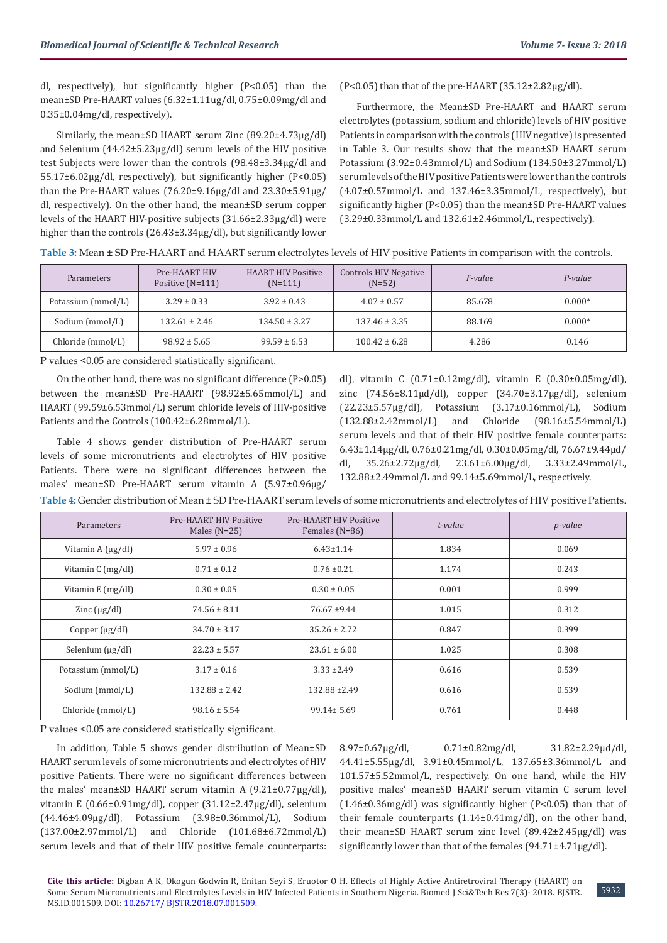dl, respectively), but significantly higher (P<0.05) than the mean±SD Pre-HAART values (6.32±1.11ug/dl, 0.75±0.09mg/dl and 0.35±0.04mg/dl, respectively).

Similarly, the mean±SD HAART serum Zinc (89.20±4.73µg/dl) and Selenium (44.42±5.23µg/dl) serum levels of the HIV positive test Subjects were lower than the controls (98.48±3.34µg/dl and 55.17±6.02µg/dl, respectively), but significantly higher (P<0.05) than the Pre-HAART values  $(76.20\pm9.16\mu g/d)$  and  $23.30\pm5.91\mu g/d$ dl, respectively). On the other hand, the mean±SD serum copper levels of the HAART HIV-positive subjects (31.66±2.33µg/dl) were higher than the controls (26.43±3.34µg/dl), but significantly lower (P<0.05) than that of the pre-HAART (35.12 $\pm$ 2.82 $\mu$ g/dl).

Furthermore, the Mean±SD Pre-HAART and HAART serum electrolytes (potassium, sodium and chloride) levels of HIV positive Patients in comparison with the controls (HIV negative) is presented in Table 3. Our results show that the mean±SD HAART serum Potassium (3.92±0.43mmol/L) and Sodium (134.50±3.27mmol/L) serum levels of the HIV positive Patients were lower than the controls  $(4.07\pm0.57$ mmol/L and  $137.46\pm3.35$ mmol/L, respectively), but significantly higher (P<0.05) than the mean±SD Pre-HAART values (3.29±0.33mmol/L and 132.61±2.46mmol/L, respectively).

| Table 3: Mean ± SD Pre-HAART and HAART serum electrolytes levels of HIV positive Patients in comparison with the controls. |  |  |
|----------------------------------------------------------------------------------------------------------------------------|--|--|
|                                                                                                                            |  |  |

| <b>Parameters</b>  | Pre-HAART HIV<br>Positive $(N=111)$ | <b>HAART HIV Positive</b><br>$(N=111)$ | <b>Controls HIV Negative</b><br>$(N=52)$ | <i>F-value</i> | P-value  |
|--------------------|-------------------------------------|----------------------------------------|------------------------------------------|----------------|----------|
| Potassium (mmol/L) | $3.29 \pm 0.33$                     | $3.92 \pm 0.43$                        | $4.07 \pm 0.57$                          | 85.678         | $0.000*$ |
| Sodium (mmol/L)    | $132.61 \pm 2.46$                   | $134.50 \pm 3.27$                      | $137.46 \pm 3.35$                        | 88.169         | $0.000*$ |
| Chloride (mmol/L)  | $98.92 \pm 5.65$                    | $99.59 \pm 6.53$                       | $100.42 \pm 6.28$                        | 4.286          | 0.146    |

P values <0.05 are considered statistically significant.

On the other hand, there was no significant difference (P>0.05) between the mean±SD Pre-HAART (98.92±5.65mmol/L) and HAART (99.59±6.53mmol/L) serum chloride levels of HIV-positive Patients and the Controls (100.42±6.28mmol/L).

Table 4 shows gender distribution of Pre-HAART serum levels of some micronutrients and electrolytes of HIV positive Patients. There were no significant differences between the males' mean±SD Pre-HAART serum vitamin A (5.97±0.96µg/ dl), vitamin C (0.71±0.12mg/dl), vitamin E (0.30±0.05mg/dl), zinc (74.56±8.11µd/dl), copper (34.70±3.17µg/dl), selenium (22.23±5.57µg/dl), Potassium (3.17±0.16mmol/L), Sodium (132.88±2.42mmol/L) and Chloride (98.16±5.54mmol/L) serum levels and that of their HIV positive female counterparts: 6.43±1.14µg/dl, 0.76±0.21mg/dl, 0.30±0.05mg/dl, 76.67±9.44µd/ dl, 35.26±2.72µg/dl, 23.61±6.00µg/dl, 3.33±2.49mmol/L, 132.88±2.49mmol/L and 99.14±5.69mmol/L, respectively.

**Table 4:** Gender distribution of Mean ± SD Pre-HAART serum levels of some micronutrients and electrolytes of HIV positive Patients.

| Parameters            | Pre-HAART HIV Positive<br>Males $(N=25)$ | Pre-HAART HIV Positive<br>Females (N=86) | t-value | <i>p</i> -value |
|-----------------------|------------------------------------------|------------------------------------------|---------|-----------------|
| Vitamin $A(\mu g/dl)$ | $5.97 \pm 0.96$                          | $6.43 \pm 1.14$                          | 1.834   | 0.069           |
| Vitamin C (mg/dl)     | $0.71 \pm 0.12$                          | $0.76 \pm 0.21$                          | 1.174   | 0.243           |
| Vitamin $E$ (mg/dl)   | $0.30 \pm 0.05$                          | $0.30 \pm 0.05$                          | 0.001   | 0.999           |
| Zinc $(\mu g/dl)$     | $74.56 \pm 8.11$                         | $76.67 \pm 9.44$                         | 1.015   | 0.312           |
| Copper $(\mu g/dl)$   | $34.70 \pm 3.17$                         | $35.26 \pm 2.72$                         | 0.847   | 0.399           |
| Selenium $(\mu g/dl)$ | $22.23 \pm 5.57$                         | $23.61 \pm 6.00$                         | 1.025   | 0.308           |
| Potassium (mmol/L)    | $3.17 \pm 0.16$                          | $3.33 \pm 2.49$                          | 0.616   | 0.539           |
| Sodium (mmol/L)       | $132.88 \pm 2.42$                        | $132.88 \pm 2.49$                        | 0.616   | 0.539           |
| Chloride (mmol/L)     | $98.16 \pm 5.54$                         | $99.14 \pm 5.69$                         | 0.761   | 0.448           |

P values <0.05 are considered statistically significant.

In addition, Table 5 shows gender distribution of Mean±SD HAART serum levels of some micronutrients and electrolytes of HIV positive Patients. There were no significant differences between the males' mean±SD HAART serum vitamin A (9.21±0.77µg/dl), vitamin E (0.66±0.91mg/dl), copper (31.12±2.47µg/dl), selenium (44.46±4.09µg/dl), Potassium (3.98±0.36mmol/L), Sodium (137.00±2.97mmol/L) and Chloride (101.68±6.72mmol/L) serum levels and that of their HIV positive female counterparts:

8.97±0.67µg/dl, 0.71±0.82mg/dl, 31.82±2.29µd/dl, 44.41±5.55µg/dl, 3.91±0.45mmol/L, 137.65±3.36mmol/L and 101.57±5.52mmol/L, respectively. On one hand, while the HIV positive males' mean±SD HAART serum vitamin C serum level (1.46±0.36mg/dl) was significantly higher (P<0.05) than that of their female counterparts (1.14±0.41mg/dl), on the other hand, their mean±SD HAART serum zinc level (89.42±2.45µg/dl) was significantly lower than that of the females (94.71±4.71µg/dl).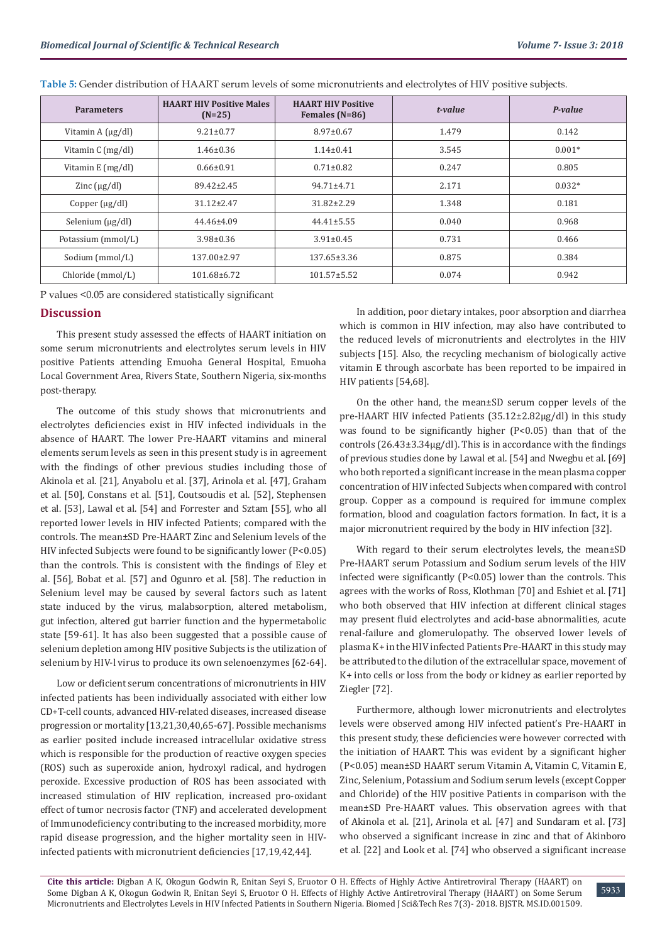| <b>Parameters</b>         | <b>HAART HIV Positive Males</b><br>$(N=25)$ | <b>HAART HIV Positive</b><br>Females (N=86) | t-value | P-value  |
|---------------------------|---------------------------------------------|---------------------------------------------|---------|----------|
| Vitamin $A(\mu g/dl)$     | $9.21 \pm 0.77$                             | $8.97 \pm 0.67$                             | 1.479   | 0.142    |
| Vitamin $C \frac{mg}{dl}$ | $1.46 \pm 0.36$                             | $1.14 \pm 0.41$                             | 3.545   | $0.001*$ |
| Vitamin $E$ (mg/dl)       | $0.66 \pm 0.91$                             | $0.71 \pm 0.82$                             | 0.247   | 0.805    |
| Zinc $(\mu g/dl)$         | 89.42±2.45                                  | $94.71 \pm 4.71$                            | 2.171   | $0.032*$ |
| Copper $(\mu g/d)$        | $31.12 \pm 2.47$                            | $31.82 \pm 2.29$                            | 1.348   | 0.181    |
| Selenium $\mu$ g/dl)      | $44.46 \pm 4.09$                            | $44.41 \pm 5.55$                            | 0.040   | 0.968    |
| Potassium (mmol/L)        | $3.98 \pm 0.36$                             | $3.91 \pm 0.45$                             | 0.731   | 0.466    |
| Sodium (mmol/L)           | 137.00±2.97                                 | $137.65 \pm 3.36$                           | 0.875   | 0.384    |
| Chloride (mmol/L)         | 101.68±6.72                                 | $101.57 \pm 5.52$                           | 0.074   | 0.942    |

**Table 5:** Gender distribution of HAART serum levels of some micronutrients and electrolytes of HIV positive subjects.

P values <0.05 are considered statistically significant

## **Discussion**

This present study assessed the effects of HAART initiation on some serum micronutrients and electrolytes serum levels in HIV positive Patients attending Emuoha General Hospital, Emuoha Local Government Area, Rivers State, Southern Nigeria, six-months post-therapy.

The outcome of this study shows that micronutrients and electrolytes deficiencies exist in HIV infected individuals in the absence of HAART. The lower Pre-HAART vitamins and mineral elements serum levels as seen in this present study is in agreement with the findings of other previous studies including those of Akinola et al. [21], Anyabolu et al. [37], Arinola et al. [47], Graham et al. [50], Constans et al. [51], Coutsoudis et al. [52], Stephensen et al. [53], Lawal et al. [54] and Forrester and Sztam [55], who all reported lower levels in HIV infected Patients; compared with the controls. The mean±SD Pre-HAART Zinc and Selenium levels of the HIV infected Subjects were found to be significantly lower (P<0.05) than the controls. This is consistent with the findings of Eley et al. [56], Bobat et al. [57] and Ogunro et al. [58]. The reduction in Selenium level may be caused by several factors such as latent state induced by the virus, malabsorption, altered metabolism, gut infection, altered gut barrier function and the hypermetabolic state [59-61]. It has also been suggested that a possible cause of selenium depletion among HIV positive Subjects is the utilization of selenium by HIV-l virus to produce its own selenoenzymes [62-64].

Low or deficient serum concentrations of micronutrients in HIV infected patients has been individually associated with either low CD+T-cell counts, advanced HIV-related diseases, increased disease progression or mortality [13,21,30,40,65-67]. Possible mechanisms as earlier posited include increased intracellular oxidative stress which is responsible for the production of reactive oxygen species (ROS) such as superoxide anion, hydroxyl radical, and hydrogen peroxide. Excessive production of ROS has been associated with increased stimulation of HIV replication, increased pro-oxidant effect of tumor necrosis factor (TNF) and accelerated development of Immunodeficiency contributing to the increased morbidity, more rapid disease progression, and the higher mortality seen in HIVinfected patients with micronutrient deficiencies [17,19,42,44].

In addition, poor dietary intakes, poor absorption and diarrhea which is common in HIV infection, may also have contributed to the reduced levels of micronutrients and electrolytes in the HIV subjects [15]. Also, the recycling mechanism of biologically active vitamin E through ascorbate has been reported to be impaired in HIV patients [54,68].

On the other hand, the mean±SD serum copper levels of the pre-HAART HIV infected Patients (35.12±2.82µg/dl) in this study was found to be significantly higher (P<0.05) than that of the controls (26.43±3.34µg/dl). This is in accordance with the findings of previous studies done by Lawal et al. [54] and Nwegbu et al. [69] who both reported a significant increase in the mean plasma copper concentration of HIV infected Subjects when compared with control group. Copper as a compound is required for immune complex formation, blood and coagulation factors formation. In fact, it is a major micronutrient required by the body in HIV infection [32].

With regard to their serum electrolytes levels, the mean±SD Pre-HAART serum Potassium and Sodium serum levels of the HIV infected were significantly  $(P<0.05)$  lower than the controls. This agrees with the works of Ross, Klothman [70] and Eshiet et al. [71] who both observed that HIV infection at different clinical stages may present fluid electrolytes and acid-base abnormalities, acute renal-failure and glomerulopathy. The observed lower levels of plasma K+ in the HIV infected Patients Pre-HAART in this study may be attributed to the dilution of the extracellular space, movement of K+ into cells or loss from the body or kidney as earlier reported by Ziegler [72].

Furthermore, although lower micronutrients and electrolytes levels were observed among HIV infected patient's Pre-HAART in this present study, these deficiencies were however corrected with the initiation of HAART. This was evident by a significant higher (P<0.05) mean±SD HAART serum Vitamin A, Vitamin C, Vitamin E, Zinc, Selenium, Potassium and Sodium serum levels (except Copper and Chloride) of the HIV positive Patients in comparison with the mean±SD Pre-HAART values. This observation agrees with that of Akinola et al. [21], Arinola et al. [47] and Sundaram et al. [73] who observed a significant increase in zinc and that of Akinboro et al. [22] and Look et al. [74] who observed a significant increase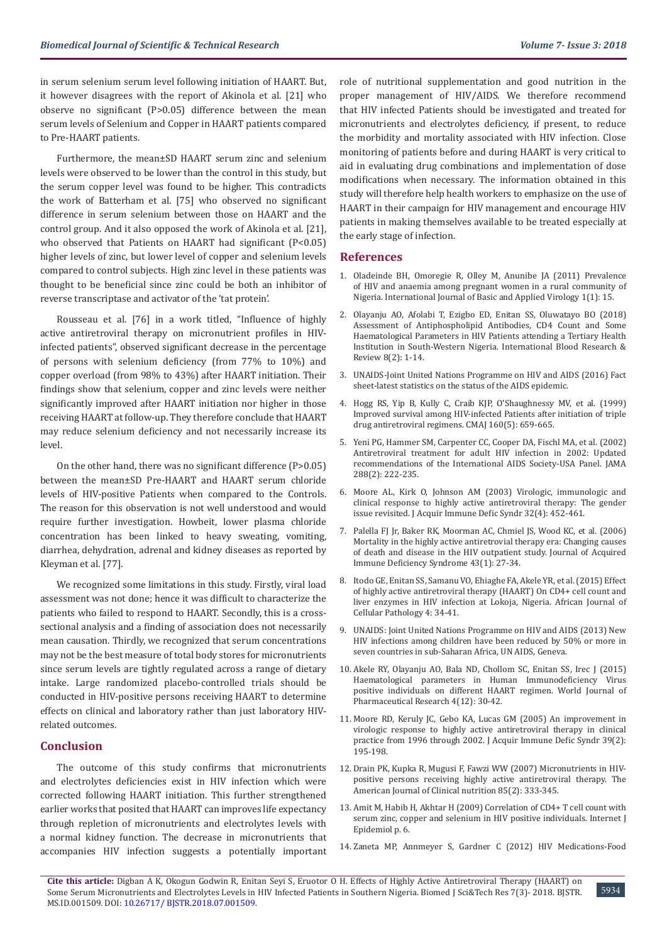in serum selenium serum level following initiation of HAART. But, it however disagrees with the report of Akinola et al. [21] who observe no significant (P>0.05) difference between the mean serum levels of Selenium and Copper in HAART patients compared to Pre-HAART patients.

Furthermore, the mean±SD HAART serum zinc and selenium levels were observed to be lower than the control in this study, but the serum copper level was found to be higher. This contradicts the work of Batterham et al. [75] who observed no significant difference in serum selenium between those on HAART and the control group. And it also opposed the work of Akinola et al. [21], who observed that Patients on HAART had significant (P<0.05) higher levels of zinc, but lower level of copper and selenium levels compared to control subjects. High zinc level in these patients was thought to be beneficial since zinc could be both an inhibitor of reverse transcriptase and activator of the 'tat protein'.

Rousseau et al. [76] in a work titled, "Influence of highly active antiretroviral therapy on micronutrient profiles in HIVinfected patients", observed significant decrease in the percentage of persons with selenium deficiency (from 77% to 10%) and copper overload (from 98% to 43%) after HAART initiation. Their findings show that selenium, copper and zinc levels were neither significantly improved after HAART initiation nor higher in those receiving HAART at follow-up. They therefore conclude that HAART may reduce selenium deficiency and not necessarily increase its level.

On the other hand, there was no significant difference (P>0.05) between the mean±SD Pre-HAART and HAART serum chloride levels of HIV-positive Patients when compared to the Controls. The reason for this observation is not well understood and would require further investigation. Howbeit, lower plasma chloride concentration has been linked to heavy sweating, vomiting, diarrhea, dehydration, adrenal and kidney diseases as reported by Kleyman et al. [77].

We recognized some limitations in this study. Firstly, viral load assessment was not done; hence it was difficult to characterize the patients who failed to respond to HAART. Secondly, this is a crosssectional analysis and a finding of association does not necessarily mean causation. Thirdly, we recognized that serum concentrations may not be the best measure of total body stores for micronutrients since serum levels are tightly regulated across a range of dietary intake. Large randomized placebo-controlled trials should be conducted in HIV-positive persons receiving HAART to determine effects on clinical and laboratory rather than just laboratory HIVrelated outcomes.

#### **Conclusion**

The outcome of this study confirms that micronutrients and electrolytes deficiencies exist in HIV infection which were corrected following HAART initiation. This further strengthened earlier works that posited that HAART can improves life expectancy through repletion of micronutrients and electrolytes levels with a normal kidney function. The decrease in micronutrients that accompanies HIV infection suggests a potentially important role of nutritional supplementation and good nutrition in the proper management of HIV/AIDS. We therefore recommend that HIV infected Patients should be investigated and treated for micronutrients and electrolytes deficiency, if present, to reduce the morbidity and mortality associated with HIV infection. Close monitoring of patients before and during HAART is very critical to aid in evaluating drug combinations and implementation of dose modifications when necessary. The information obtained in this study will therefore help health workers to emphasize on the use of HAART in their campaign for HIV management and encourage HIV patients in making themselves available to be treated especially at the early stage of infection.

#### **References**

- 1. Oladeinde BH, Omoregie R, Olley M, Anunibe JA (2011) Prevalence of HIV and anaemia among pregnant women in a rural community of Nigeria. International Journal of Basic and Applied Virology 1(1): 15.
- 2. [Olayanju AO, Afolabi T, Ezigbo ED, Enitan SS, Oluwatayo BO \(2018\)](http://www.sciencedomain.org/abstract/24876) [Assessment of Antiphospholipid Antibodies, CD4 Count and Some](http://www.sciencedomain.org/abstract/24876) [Haematological Parameters in HIV Patients attending a Tertiary Health](http://www.sciencedomain.org/abstract/24876) [Institution in South-Western Nigeria. International Blood Research &](http://www.sciencedomain.org/abstract/24876) [Review 8\(2\): 1-14.](http://www.sciencedomain.org/abstract/24876)
- 3. [UNAIDS-Joint United Nations Programme on HIV and AIDS \(2016\) Fact](http://www.unaids.org/) [sheet-latest statistics on the status of the AIDS epidemic.](http://www.unaids.org/)
- 4. [Hogg RS, Yip B, Kully C, Craib KJP, O'Shaughnessy MV, et al. \(1999\)](https://www.ncbi.nlm.nih.gov/pubmed/10102000) [Improved survival among HIV-infected Patients after initiation of triple](https://www.ncbi.nlm.nih.gov/pubmed/10102000) [drug antiretroviral regimens. CMAJ 160\(5\): 659-665.](https://www.ncbi.nlm.nih.gov/pubmed/10102000)
- 5. [Yeni PG, Hammer SM, Carpenter CC, Cooper DA, Fischl MA, et al. \(2002\)](https://www.ncbi.nlm.nih.gov/pubmed/12095387) [Antiretroviral treatment for adult HIV infection in 2002: Updated](https://www.ncbi.nlm.nih.gov/pubmed/12095387) [recommendations of the International AIDS Society-USA Panel. JAMA](https://www.ncbi.nlm.nih.gov/pubmed/12095387) [288\(2\): 222-235.](https://www.ncbi.nlm.nih.gov/pubmed/12095387)
- 6. [Moore AL, Kirk O, Johnson AM \(2003\) Virologic, immunologic and](https://www.ncbi.nlm.nih.gov/pubmed/12640206) [clinical response to highly active antiretroviral therapy: The gender](https://www.ncbi.nlm.nih.gov/pubmed/12640206) [issue revisited. J Acquir Immune Defic Syndr 32\(4\): 452-461.](https://www.ncbi.nlm.nih.gov/pubmed/12640206)
- 7. [Palella FJ Jr, Baker RK, Moorman AC, Chmiel JS, Wood KC, et al. \(2006\)](https://www.ncbi.nlm.nih.gov/pubmed/16878047) [Mortality in the highly active antiretrovial therapy era: Changing causes](https://www.ncbi.nlm.nih.gov/pubmed/16878047) [of death and disease in the HIV outpatient study. Journal of Acquired](https://www.ncbi.nlm.nih.gov/pubmed/16878047) [Immune Deficiency Syndrome 43\(1\): 27-34.](https://www.ncbi.nlm.nih.gov/pubmed/16878047)
- 8. [Itodo GE, Enitan SS, Samanu VO, Ehiaghe FA, Akele YR, et al. \(2015\) Effect](http://www.academicjournals.org/journal/AJCPath/article-full-text-pdf/DB2C53355376) [of highly active antiretroviral therapy \(HAART\) On CD4+ cell count and](http://www.academicjournals.org/journal/AJCPath/article-full-text-pdf/DB2C53355376) [liver enzymes in HIV infection at Lokoja, Nigeria. African Journal of](http://www.academicjournals.org/journal/AJCPath/article-full-text-pdf/DB2C53355376) [Cellular Pathology 4: 34-41.](http://www.academicjournals.org/journal/AJCPath/article-full-text-pdf/DB2C53355376)
- 9. UNAIDS: Joint United Nations Programme on HIV and AIDS (2013) New HIV infections among children have been reduced by 50% or more in seven countries in sub-Saharan Africa, UN AIDS, Geneva.
- 10. [Akele RY, Olayanju AO, Bala ND, Chollom SC, Enitan SS, Irec J \(2015\)](https://www.researchgate.net/publication/319182533_HAEMATOLOGICAL_PARAMETERS_IN_HUMAN_IMMUNODEFICIENCY_VIRUS_POSITIVE_INDIVIDUALS_ON_DIFFERENT_HAART_REGIMEN) [Haematological parameters in Human Immunodeficiency Virus](https://www.researchgate.net/publication/319182533_HAEMATOLOGICAL_PARAMETERS_IN_HUMAN_IMMUNODEFICIENCY_VIRUS_POSITIVE_INDIVIDUALS_ON_DIFFERENT_HAART_REGIMEN) [positive individuals on different HAART regimen. World Journal of](https://www.researchgate.net/publication/319182533_HAEMATOLOGICAL_PARAMETERS_IN_HUMAN_IMMUNODEFICIENCY_VIRUS_POSITIVE_INDIVIDUALS_ON_DIFFERENT_HAART_REGIMEN) [Pharmaceutical Research 4\(12\): 30-42.](https://www.researchgate.net/publication/319182533_HAEMATOLOGICAL_PARAMETERS_IN_HUMAN_IMMUNODEFICIENCY_VIRUS_POSITIVE_INDIVIDUALS_ON_DIFFERENT_HAART_REGIMEN)
- 11. [Moore RD, Keruly JC, Gebo KA, Lucas GM \(2005\) An improvement in](https://www.ncbi.nlm.nih.gov/pubmed/15905736) [virologic response to highly active antiretroviral therapy in clinical](https://www.ncbi.nlm.nih.gov/pubmed/15905736) [practice from 1996 through 2002. J Acquir Immune Defic Syndr 39\(2\):](https://www.ncbi.nlm.nih.gov/pubmed/15905736) [195-198.](https://www.ncbi.nlm.nih.gov/pubmed/15905736)
- 12. [Drain PK, Kupka R, Mugusi F, Fawzi WW \(2007\) Micronutrients in HIV](https://www.ncbi.nlm.nih.gov/pubmed/17284727)[positive persons receiving highly active antiretroviral therapy. The](https://www.ncbi.nlm.nih.gov/pubmed/17284727) [American Journal of Clinical nutrition 85\(2\): 333-345.](https://www.ncbi.nlm.nih.gov/pubmed/17284727)
- 13. [Amit M, Habib H, Akhtar H \(2009\) Correlation of CD4+ T cell count with](https://www.researchgate.net/publication/236176813_Correlation_of_CD4_T_cell_count_with_serum_Zinc_Copper_and_Selenium_in_HIV_positive_individuals) [serum zinc, copper and selenium in HIV positive individuals. Internet J](https://www.researchgate.net/publication/236176813_Correlation_of_CD4_T_cell_count_with_serum_Zinc_Copper_and_Selenium_in_HIV_positive_individuals) [Epidemiol p. 6.](https://www.researchgate.net/publication/236176813_Correlation_of_CD4_T_cell_count_with_serum_Zinc_Copper_and_Selenium_in_HIV_positive_individuals)
- 14. Zaneta MP, Annmeyer S, Gardner C (2012) HIV Medications-Food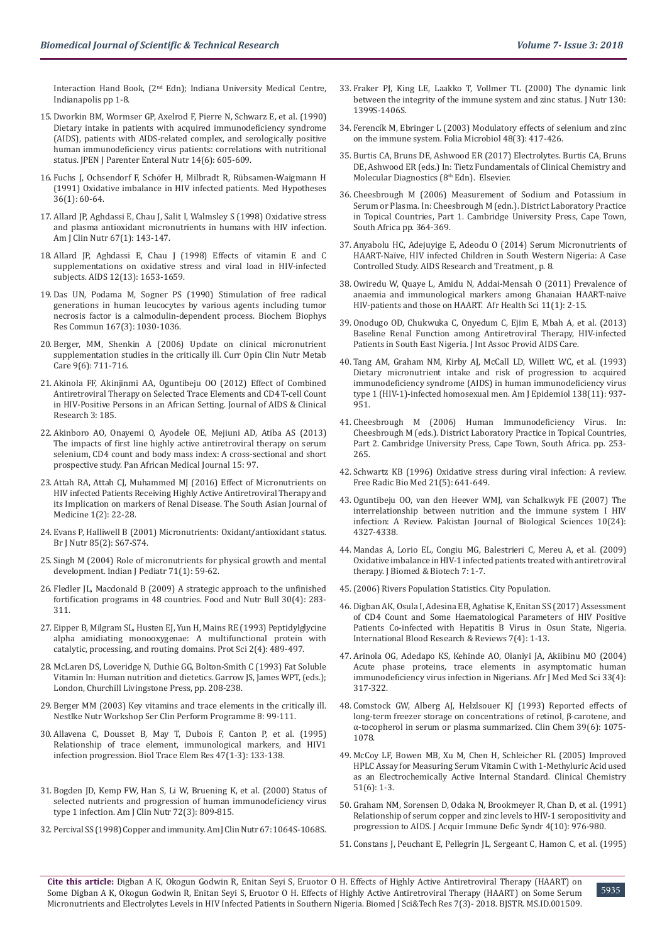Interaction Hand Book, (2nd Edn); Indiana University Medical Centre, Indianapolis pp 1-8.

- 15. [Dworkin BM, Wormser GP, Axelrod F, Pierre N, Schwarz E, et al. \(1990\)](https://www.ncbi.nlm.nih.gov/pubmed/2273533)  [Dietary intake in patients with acquired immunodeficiency syndrome](https://www.ncbi.nlm.nih.gov/pubmed/2273533)  [\(AIDS\), patients with AIDS-related complex, and serologically positive](https://www.ncbi.nlm.nih.gov/pubmed/2273533)  [human immunodeficiency virus patients: correlations with nutritional](https://www.ncbi.nlm.nih.gov/pubmed/2273533)  [status. JPEN J Parenter Enteral Nutr 14\(6\): 605-609.](https://www.ncbi.nlm.nih.gov/pubmed/2273533)
- 16. [Fuchs J, Ochsendorf F, Schöfer H, Milbradt R, Rübsamen-Waigmann H](https://www.ncbi.nlm.nih.gov/pubmed/1766417)  [\(1991\) Oxidative imbalance in HIV infected patients. Med Hypotheses](https://www.ncbi.nlm.nih.gov/pubmed/1766417)  [36\(1\): 60-64.](https://www.ncbi.nlm.nih.gov/pubmed/1766417)
- 17. [Allard JP, Aghdassi E, Chau J, Salit I, Walmsley S \(1998\) Oxidative stress](https://www.ncbi.nlm.nih.gov/pubmed/9440389)  [and plasma antioxidant micronutrients in humans with HIV infection.](https://www.ncbi.nlm.nih.gov/pubmed/9440389)  [Am J Clin Nutr 67\(1\): 143-147.](https://www.ncbi.nlm.nih.gov/pubmed/9440389)
- 18. [Allard JP, Aghdassi E, Chau J \(1998\) Effects of vitamin E and C](https://www.ncbi.nlm.nih.gov/pubmed/9764785)  [supplementations on oxidative stress and viral load in HIV-infected](https://www.ncbi.nlm.nih.gov/pubmed/9764785)  [subjects. AIDS 12\(13\): 1653-1659.](https://www.ncbi.nlm.nih.gov/pubmed/9764785)
- 19. [Das UN, Podama M, Sogner PS \(1990\) Stimulation of free radical](https://www.ncbi.nlm.nih.gov/pubmed/2157420)  [generations in human leucocytes by various agents including tumor](https://www.ncbi.nlm.nih.gov/pubmed/2157420)  [necrosis factor is a calmodulin-dependent process. Biochem Biophys](https://www.ncbi.nlm.nih.gov/pubmed/2157420)  [Res Commun 167\(3\): 1030-1036.](https://www.ncbi.nlm.nih.gov/pubmed/2157420)
- 20. [Berger, MM, Shenkin A \(2006\) Update on clinical micronutrient](https://www.ncbi.nlm.nih.gov/pubmed/17053424)  [supplementation studies in the critically ill. Curr Opin Clin Nutr Metab](https://www.ncbi.nlm.nih.gov/pubmed/17053424)  [Care 9\(6\): 711-716.](https://www.ncbi.nlm.nih.gov/pubmed/17053424)
- 21. [Akinola FF, Akinjinmi AA, Oguntibeju OO \(2012\) Effect of Combined](https://www.omicsonline.org/effect-of-combined-antiretroviral-therapy-on-selected-trace-elements-and-cd4+t-cell-count-in-hiv-positive-persons-in-an-african-setting-2155-6113.1000185.php?aid=10114)  [Antiretroviral Therapy on Selected Trace Elements and CD4 T-cell Count](https://www.omicsonline.org/effect-of-combined-antiretroviral-therapy-on-selected-trace-elements-and-cd4+t-cell-count-in-hiv-positive-persons-in-an-african-setting-2155-6113.1000185.php?aid=10114)  [in HIV-Positive Persons in an African Setting. Journal of AIDS & Clinical](https://www.omicsonline.org/effect-of-combined-antiretroviral-therapy-on-selected-trace-elements-and-cd4+t-cell-count-in-hiv-positive-persons-in-an-african-setting-2155-6113.1000185.php?aid=10114)  [Research 3: 185.](https://www.omicsonline.org/effect-of-combined-antiretroviral-therapy-on-selected-trace-elements-and-cd4+t-cell-count-in-hiv-positive-persons-in-an-african-setting-2155-6113.1000185.php?aid=10114)
- 22. [Akinboro AO, Onayemi O, Ayodele OE, Mejiuni AD, Atiba AS \(2013\)](https://www.ncbi.nlm.nih.gov/pubmed/24198891)  [The impacts of first line highly active antiretroviral therapy on serum](https://www.ncbi.nlm.nih.gov/pubmed/24198891)  [selenium, CD4 count and body mass index: A cross-sectional and short](https://www.ncbi.nlm.nih.gov/pubmed/24198891)  [prospective study. Pan African Medical Journal 15: 97.](https://www.ncbi.nlm.nih.gov/pubmed/24198891)
- 23. [Attah RA, Attah CJ, Muhammed MJ \(2016\) Effect of Micronutrients on](https://www.researchgate.net/publication/307856423_Effect_of_Micronutrient_on_HIV_Infected_Patients_Receiving_Highly_Active_Antiretroviral_Therapy_and_Its_Implication_on_Markers_of_Renal_Disease)  [HIV infected Patients Receiving Highly Active Antiretroviral Therapy and](https://www.researchgate.net/publication/307856423_Effect_of_Micronutrient_on_HIV_Infected_Patients_Receiving_Highly_Active_Antiretroviral_Therapy_and_Its_Implication_on_Markers_of_Renal_Disease)  [its Implication on markers of Renal Disease. The South Asian Journal of](https://www.researchgate.net/publication/307856423_Effect_of_Micronutrient_on_HIV_Infected_Patients_Receiving_Highly_Active_Antiretroviral_Therapy_and_Its_Implication_on_Markers_of_Renal_Disease)  [Medicine 1\(2\): 22-28.](https://www.researchgate.net/publication/307856423_Effect_of_Micronutrient_on_HIV_Infected_Patients_Receiving_Highly_Active_Antiretroviral_Therapy_and_Its_Implication_on_Markers_of_Renal_Disease)
- 24. [Evans P, Halliwell B \(2001\) Micronutrients: Oxidant/antioxidant status.](https://www.ncbi.nlm.nih.gov/pubmed/11509092)  [Br J Nutr 85\(2\): S67-S74.](https://www.ncbi.nlm.nih.gov/pubmed/11509092)
- 25. [Singh M \(2004\) Role of micronutrients for physical growth and mental](https://www.ncbi.nlm.nih.gov/pubmed/14979388)  [development. Indian J Pediatr 71\(1\): 59-62.](https://www.ncbi.nlm.nih.gov/pubmed/14979388)
- 26. [Fledler JL, Macdonald B \(2009\) A strategic approach to the unfinished](https://www.ncbi.nlm.nih.gov/pubmed/20496620)  [fortification programs in 48 countries. Food and Nutr Bull 30\(4\): 283-](https://www.ncbi.nlm.nih.gov/pubmed/20496620) [311.](https://www.ncbi.nlm.nih.gov/pubmed/20496620)
- 27. [Eipper B, Milgram SL, Husten EJ, Yun H, Mains RE \(1993\) Peptidylglycine](https://www.ncbi.nlm.nih.gov/pubmed/8518727)  [alpha amidiating monooxygenae: A multifunctional protein with](https://www.ncbi.nlm.nih.gov/pubmed/8518727)  [catalytic, processing, and routing domains. Prot Sci 2\(4\): 489-497.](https://www.ncbi.nlm.nih.gov/pubmed/8518727)
- 28. McLaren DS, Loveridge N, Duthie GG, Bolton-Smith C (1993) Fat Soluble Vitamin In: Human nutrition and dietetics. Garrow JS, James WPT, (eds.); London, Churchill Livingstone Press, pp. 208-238.
- 29. [Berger MM \(2003\) Key vitamins and trace elements in the critically ill.](https://www.karger.com/Article/Pdf/72750)  [Nestlke Nutr Workshop Ser Clin Perform Programme 8: 99-111.](https://www.karger.com/Article/Pdf/72750)
- 30. [Allavena C, Dousset B, May T, Dubois F, Canton P, et al. \(1995\)](https://www.ncbi.nlm.nih.gov/pubmed/7779539)  [Relationship of trace element, immunological markers, and HIV1](https://www.ncbi.nlm.nih.gov/pubmed/7779539)  [infection progression. Biol Trace Elem Res 47\(1-3\): 133-138.](https://www.ncbi.nlm.nih.gov/pubmed/7779539)
- 31. [Bogden JD, Kemp FW, Han S, Li W, Bruening K, et al. \(2000\) Status of](https://www.ncbi.nlm.nih.gov/pubmed/10966904)  [selected nutrients and progression of human immunodeficiency virus](https://www.ncbi.nlm.nih.gov/pubmed/10966904)  [type 1 infection. Am J Clin Nutr 72\(3\): 809-815.](https://www.ncbi.nlm.nih.gov/pubmed/10966904)
- 32. [Percival SS \(1998\) Copper and immunity. Am J Clin Nutr 67: 1064S-1068S.](https://www.ncbi.nlm.nih.gov/pubmed/9587153)
- 33. [Fraker PJ, King LE, Laakko T, Vollmer TL \(2000\) The dynamic link](https://www.ncbi.nlm.nih.gov/pubmed/10801951) [between the integrity of the immune system and zinc status. J Nutr 130:](https://www.ncbi.nlm.nih.gov/pubmed/10801951) [1399S-1406S.](https://www.ncbi.nlm.nih.gov/pubmed/10801951)
- 34. [Ferencík M, Ebringer L \(2003\) Modulatory effects of selenium and zinc](https://www.ncbi.nlm.nih.gov/pubmed/12879758) [on the immune system. Folia Microbiol 48\(3\): 417-426.](https://www.ncbi.nlm.nih.gov/pubmed/12879758)
- 35. Burtis CA, Bruns DE, Ashwood ER (2017) Electrolytes. Burtis CA, Bruns DE, Ashwood ER (eds.) In: Tietz Fundamentals of Clinical Chemistry and Molecular Diagnostics (8<sup>th</sup> Edn). Elsevier.
- 36. Cheesbrough M (2006) Measurement of Sodium and Potassium in Serum or Plasma. In: Cheesbrough M (edn.). District Laboratory Practice in Topical Countries, Part 1. Cambridge University Press, Cape Town, South Africa pp. 364-369.
- 37. [Anyabolu HC, Adejuyige E, Adeodu O \(2014\) Serum Micronutrients of](https://www.hindawi.com/journals/art/2014/351043/) [HAART-Naïve, HIV infected Children in South Western Nigeria: A Case](https://www.hindawi.com/journals/art/2014/351043/) [Controlled Study. AIDS Research and Treatment, p. 8.](https://www.hindawi.com/journals/art/2014/351043/)
- 38. [Owiredu W, Quaye L, Amidu N, Addai-Mensah O \(2011\) Prevalence of](https://www.ncbi.nlm.nih.gov/pubmed/21572851) [anaemia and immunological markers among Ghanaian HAART-naïve](https://www.ncbi.nlm.nih.gov/pubmed/21572851) [HIV-patients and those on HAART. Afr Health Sci 11\(1\): 2-15.](https://www.ncbi.nlm.nih.gov/pubmed/21572851)
- 39. [Onodugo OD, Chukwuka C, Onyedum C, Ejim E, Mbah A, et al. \(2013\)](https://www.ncbi.nlm.nih.gov/pubmed/23771870) [Baseline Renal Function among Antiretroviral Therapy, HIV-infected](https://www.ncbi.nlm.nih.gov/pubmed/23771870) [Patients in South East Nigeria. J Int Assoc Provid AIDS Care.](https://www.ncbi.nlm.nih.gov/pubmed/23771870)
- 40. [Tang AM, Graham NM, Kirby AJ, McCall LD, Willett WC, et al. \(1993\)](https://www.ncbi.nlm.nih.gov/pubmed/7903021) [Dietary micronutrient intake and risk of progression to acquired](https://www.ncbi.nlm.nih.gov/pubmed/7903021) [immunodeficiency syndrome \(AIDS\) in human immunodeficiency virus](https://www.ncbi.nlm.nih.gov/pubmed/7903021) [type 1 \(HIV-1\)-infected homosexual men. Am J Epidemiol 138\(11\): 937-](https://www.ncbi.nlm.nih.gov/pubmed/7903021) [951.](https://www.ncbi.nlm.nih.gov/pubmed/7903021)
- 41. Cheesbrough M (2006) Human Immunodeficiency Virus. In: Cheesbrough M (eds.). District Laboratory Practice in Topical Countries, Part 2. Cambridge University Press, Cape Town, South Africa. pp. 253- 265.
- 42. [Schwartz KB \(1996\) Oxidative stress during viral infection: A review.](https://www.ncbi.nlm.nih.gov/pubmed/8891667) [Free Radic Bio Med 21\(5\): 641-649.](https://www.ncbi.nlm.nih.gov/pubmed/8891667)
- 43. [Oguntibeju OO, van den Heever WMJ, van Schalkwyk FE \(2007\) The](https://www.ncbi.nlm.nih.gov/pubmed/19093495) [interrelationship between nutrition and the immune system I HIV](https://www.ncbi.nlm.nih.gov/pubmed/19093495) [infection: A Review. Pakistan Journal of Biological Sciences 10\(24\):](https://www.ncbi.nlm.nih.gov/pubmed/19093495) [4327-4338.](https://www.ncbi.nlm.nih.gov/pubmed/19093495)
- 44. [Mandas A, Lorio EL, Congiu MG, Balestrieri C, Mereu A, et al. \(2009\)](https://www.ncbi.nlm.nih.gov/pubmed/19884983) [Oxidative imbalance in HIV-1 infected patients treated with antiretroviral](https://www.ncbi.nlm.nih.gov/pubmed/19884983) [therapy. J Biomed & Biotech 7: 1-7.](https://www.ncbi.nlm.nih.gov/pubmed/19884983)
- 45.[\(2006\) Rivers Population Statistics. City Population.](https://e.m.wikipaedia/Emohua)
- 46. [Digban AK, Osula I, Adesina EB, Aghatise K, Enitan SS \(2017\) Assessment](http://www.sciencedomain.org/abstract/21484) [of CD4 Count and Some Haematological Parameters of HIV Positive](http://www.sciencedomain.org/abstract/21484) [Patients Co-infected with Hepatitis B Virus in Osun State, Nigeria.](http://www.sciencedomain.org/abstract/21484) [International Blood Research & Reviews 7\(4\): 1-13.](http://www.sciencedomain.org/abstract/21484)
- 47. [Arinola OG, Adedapo KS, Kehinde AO, Olaniyi JA, Akiibinu MO \(2004\)](https://www.ncbi.nlm.nih.gov/pubmed/15977438) [Acute phase proteins, trace elements in asymptomatic human](https://www.ncbi.nlm.nih.gov/pubmed/15977438) [immunodeficiency virus infection in Nigerians. Afr J Med Med Sci 33\(4\):](https://www.ncbi.nlm.nih.gov/pubmed/15977438) [317-322.](https://www.ncbi.nlm.nih.gov/pubmed/15977438)
- 48. [Comstock GW, Alberg AJ, Helzlsouer KJ \(1993\) Reported effects of](https://www.ncbi.nlm.nih.gov/pubmed/8504540) [long-term freezer storage on concentrations of retinol, β-carotene, and](https://www.ncbi.nlm.nih.gov/pubmed/8504540) [α-tocopherol in serum or plasma summarized. Clin Chem 39\(6\): 1075-](https://www.ncbi.nlm.nih.gov/pubmed/8504540) [1078.](https://www.ncbi.nlm.nih.gov/pubmed/8504540)
- 49. [McCoy LF, Bowen MB, Xu M, Chen H, Schleicher RL \(2005\) Improved](http://clinchem.aaccjnls.org/content/clinchem/51/6/1062.full.pdf) [HPLC Assay for Measuring Serum Vitamin C with 1-Methyluric Acid used](http://clinchem.aaccjnls.org/content/clinchem/51/6/1062.full.pdf) [as an Electrochemically Active Internal Standard. Clinical Chemistry](http://clinchem.aaccjnls.org/content/clinchem/51/6/1062.full.pdf) [51\(6\): 1-3.](http://clinchem.aaccjnls.org/content/clinchem/51/6/1062.full.pdf)
- 50. [Graham NM, Sorensen D, Odaka N, Brookmeyer R, Chan D, et al. \(1991\)](https://www.ncbi.nlm.nih.gov/pubmed/1890606) [Relationship of serum copper and zinc levels to HIV-1 seropositivity and](https://www.ncbi.nlm.nih.gov/pubmed/1890606) [progression to AIDS. J Acquir Immune Defic Syndr 4\(10\): 976-980.](https://www.ncbi.nlm.nih.gov/pubmed/1890606)
- 51. [Constans J, Peuchant E, Pellegrin JL, Sergeant C, Hamon C, et al. \(1995\)](https://www.ncbi.nlm.nih.gov/pubmed/8521597)